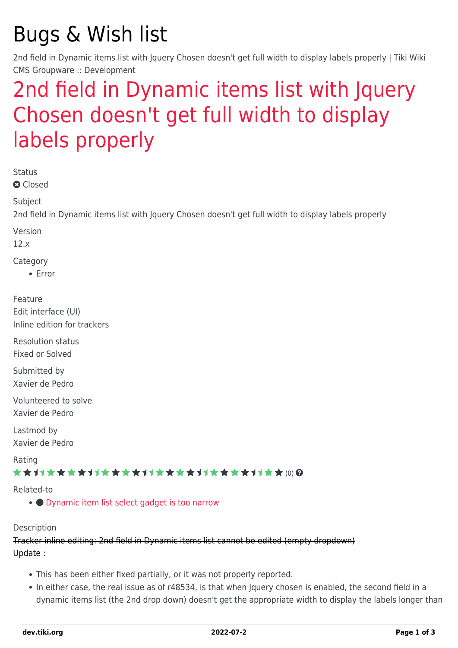## Bugs & Wish list

2nd field in Dynamic items list with Jquery Chosen doesn't get full width to display labels properly | Tiki Wiki CMS Groupware :: Development

## [2nd field in Dynamic items list with Jquery](https://dev.tiki.org/item4942-2nd-field-in-Dynamic-items-list-with-Jquery-Chosen-doesn-t-get-full-width-to-display-labels-properly) [Chosen doesn't get full width to display](https://dev.tiki.org/item4942-2nd-field-in-Dynamic-items-list-with-Jquery-Chosen-doesn-t-get-full-width-to-display-labels-properly) [labels properly](https://dev.tiki.org/item4942-2nd-field-in-Dynamic-items-list-with-Jquery-Chosen-doesn-t-get-full-width-to-display-labels-properly)

Status

**Q** Closed

**Subject** 

2nd field in Dynamic items list with Jquery Chosen doesn't get full width to display labels properly

Version

12.x

Category

Error

Feature Edit interface (UI) Inline edition for trackers

Resolution status Fixed or Solved

Submitted by Xavier de Pedro

Volunteered to solve Xavier de Pedro

Lastmod by Xavier de Pedro

Rating

★★→★★★★→★★★★★→★★★★★★★★★★++★★ (0) @

Related-to

• O [Dynamic item list select gadget is too narrow](https://dev.tiki.org/item5563-Dynamic-item-list-select-gadget-is-too-narrow)

Description

Tracker inline editing: 2nd field in Dynamic items list cannot be edited (empty dropdown) Update :

- This has been either fixed partially, or it was not properly reported.
- In either case, the real issue as of r48534, is that when Jquery chosen is enabled, the second field in a dynamic items list (the 2nd drop down) doesn't get the appropriate width to display the labels longer than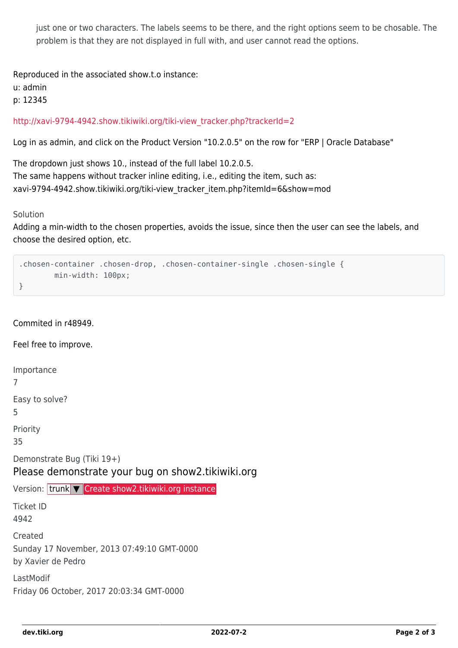just one or two characters. The labels seems to be there, and the right options seem to be chosable. The problem is that they are not displayed in full with, and user cannot read the options.

Reproduced in the associated show.t.o instance:

u: admin

p: 12345

[http://xavi-9794-4942.show.tikiwiki.org/tiki-view\\_tracker.php?trackerId=2](http://xavi-9794-4942.show.tikiwiki.org/tiki-view_tracker.php?trackerId=2)

Log in as admin, and click on the Product Version "10.2.0.5" on the row for "ERP | Oracle Database"

The dropdown just shows 10., instead of the full label 10.2.0.5. The same happens without tracker inline editing, i.e., editing the item, such as: xavi-9794-4942.show.tikiwiki.org/tiki-view\_tracker\_item.php?itemId=6&show=mod

Solution

Adding a min-width to the chosen properties, avoids the issue, since then the user can see the labels, and choose the desired option, etc.

```
.chosen-container .chosen-drop, .chosen-container-single .chosen-single {
         min-width: 100px;
}
```
Commited in r48949.

Feel free to improve.

Importance

7

Easy to solve?

5

Priority

35

Demonstrate Bug (Tiki 19+)

Please demonstrate your bug on show2.tikiwiki.org

Version: trunk ▼ [Create show2.tikiwiki.org instance](#page--1-0)

Ticket ID 4942

Created Sunday 17 November, 2013 07:49:10 GMT-0000 by Xavier de Pedro

LastModif Friday 06 October, 2017 20:03:34 GMT-0000